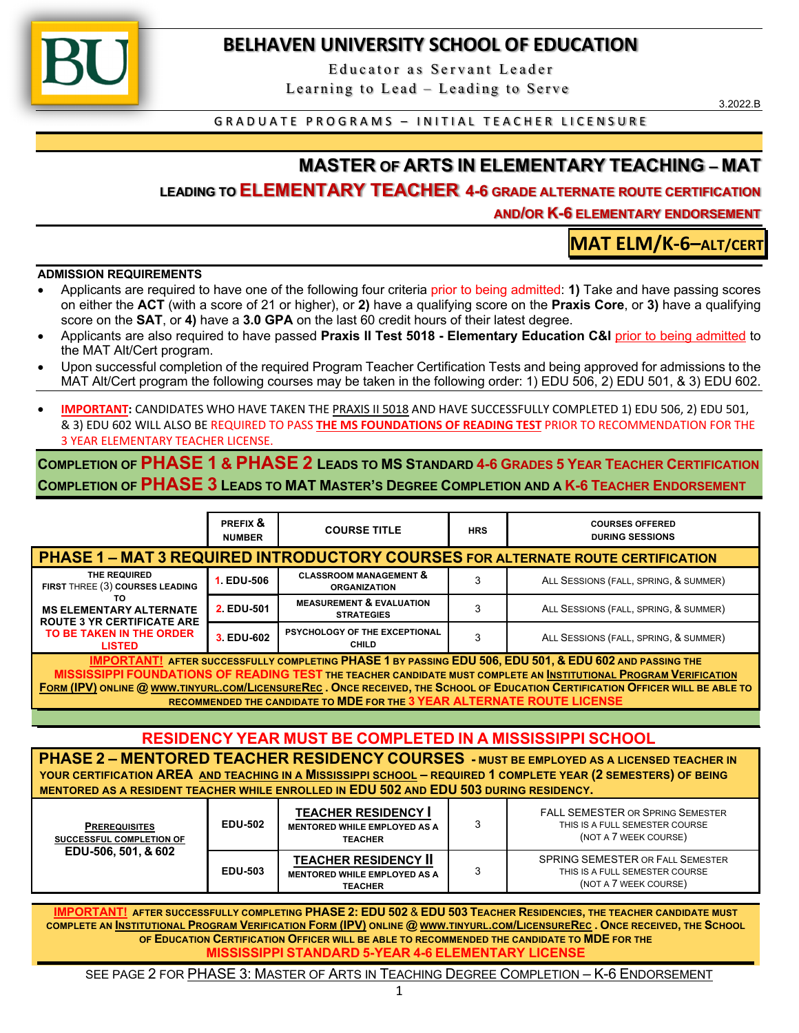

## **BELHAVEN UNIVERSITY SCHOOL OF EDUCATION**

Educator as Servant Leader

Learning to Lead – Leading to Serve

3.2022.B

GRADUATE PROGRAMS – INITIAL TEACHER LICENSURE

# **MASTER OF ARTS IN ELEMENTARY TEACHING – MAT**

### **LEADING TO ELEMENTARY TEACHER 4-6 GRADE ALTERNATE ROUTE CERTIFICATION**

**AND/OR K-6 ELEMENTARY ENDORSEMENT**

THIS IS A FULL SEMESTER COURSE (NOT A 7 WEEK COURSE)

**MAT ELM/K-6–ALT/CERT**

**ADMISSION REQUIREMENTS**

- Applicants are required to have one of the following four criteria prior to being admitted: **1)** Take and have passing scores on either the **ACT** (with a score of 21 or higher), or **2)** have a qualifying score on the **Praxis Core**, or **3)** have a qualifying score on the **SAT**, or **4)** have a **3.0 GPA** on the last 60 credit hours of their latest degree.
- Applicants are also required to have passed **Praxis II Test 5018 - Elementary Education C&I** prior to being admitted to the MAT Alt/Cert program.
- Upon successful completion of the required Program Teacher Certification Tests and being approved for admissions to the MAT Alt/Cert program the following courses may be taken in the following order: 1) EDU 506, 2) EDU 501, & 3) EDU 602.
- **IMPORTANT:** CANDIDATES WHO HAVE TAKEN THE PRAXIS II 5018 AND HAVE SUCCESSFULLY COMPLETED 1) EDU 506, 2) EDU 501, & 3) EDU 602 WILL ALSO BE REQUIRED TO PASS **THE MS FOUNDATIONS OF READING TEST** PRIOR TO RECOMMENDATION FOR THE 3 YEAR ELEMENTARY TEACHER LICENSE.

**COMPLETION OF PHASE 1 & PHASE 2 LEADS TO MS STANDARD 4-6 GRADES 5 YEAR TEACHER CERTIFICATION COMPLETION OF PHASE 3 LEADS TO MAT MASTER'S DEGREE COMPLETION AND A K-6 TEACHER ENDORSEMENT**

|                                                                                                                                                                                                                                                                                                                                                                                                                                           | PREFIX &<br><b>NUMBER</b> | <b>COURSE TITLE</b>                                                                 | <b>HRS</b> | <b>COURSES OFFERED</b><br><b>DURING SESSIONS</b>                                                   |  |  |  |  |  |
|-------------------------------------------------------------------------------------------------------------------------------------------------------------------------------------------------------------------------------------------------------------------------------------------------------------------------------------------------------------------------------------------------------------------------------------------|---------------------------|-------------------------------------------------------------------------------------|------------|----------------------------------------------------------------------------------------------------|--|--|--|--|--|
| <b>PHASE 1 - MAT 3 REQUIRED INTRODUCTORY COURSES FOR ALTERNATE ROUTE CERTIFICATION</b>                                                                                                                                                                                                                                                                                                                                                    |                           |                                                                                     |            |                                                                                                    |  |  |  |  |  |
| THE REQUIRED<br>FIRST THREE (3) COURSES LEADING<br>TO.<br><b>MS ELEMENTARY ALTERNATE</b><br><b>ROUTE 3 YR CERTIFICATE ARE</b>                                                                                                                                                                                                                                                                                                             | 1. EDU-506                | <b>CLASSROOM MANAGEMENT &amp;</b><br><b>ORGANIZATION</b>                            | 3          | ALL SESSIONS (FALL, SPRING, & SUMMER)                                                              |  |  |  |  |  |
|                                                                                                                                                                                                                                                                                                                                                                                                                                           | 2 EDU-501                 | <b>MEASUREMENT &amp; EVALUATION</b><br><b>STRATEGIES</b>                            | 3          | ALL SESSIONS (FALL, SPRING, & SUMMER)                                                              |  |  |  |  |  |
| TO BE TAKEN IN THE ORDER<br><b>LISTED</b>                                                                                                                                                                                                                                                                                                                                                                                                 | 3. EDU-602                | PSYCHOLOGY OF THE EXCEPTIONAL<br>CHILD                                              | 3          | ALL SESSIONS (FALL, SPRING, & SUMMER)                                                              |  |  |  |  |  |
| IMPORTANT! AFTER SUCCESSFULLY COMPLETING PHASE 1 BY PASSING EDU 506, EDU 501, & EDU 602 AND PASSING THE<br>MISSISSIPPI FOUNDATIONS OF READING TEST THE TEACHER CANDIDATE MUST COMPLETE AN INSTITUTIONAL PROGRAM VERIFICATION<br>FORM (IPV) ONLINE @ WWW.TINYURL.COM/LICENSUREREC. ONCE RECEIVED, THE SCHOOL OF EDUCATION CERTIFICATION OFFICER WILL BE ABLE TO<br>RECOMMENDED THE CANDIDATE TO MDE FOR THE 3 YEAR ALTERNATE ROUTE LICENSE |                           |                                                                                     |            |                                                                                                    |  |  |  |  |  |
| RESIDENCY YEAR MUST BE COMPLETED IN A MISSISSIPPI SCHOOL                                                                                                                                                                                                                                                                                                                                                                                  |                           |                                                                                     |            |                                                                                                    |  |  |  |  |  |
| PHASE 2 - MENTORED TEACHER RESIDENCY COURSES - MUST BE EMPLOYED AS A LICENSED TEACHER IN<br>YOUR CERTIFICATION AREA AND TEACHING IN A MISSISSIPPI SCHOOL - REQUIRED 1 COMPLETE YEAR (2 SEMESTERS) OF BEING<br>MENTORED AS A RESIDENT TEACHER WHILE ENROLLED IN EDU 502 AND EDU 503 DURING RESIDENCY.                                                                                                                                      |                           |                                                                                     |            |                                                                                                    |  |  |  |  |  |
| <b>PREREQUISITES</b><br>SUCCESSFUL COMPLETION OF<br>EDU-506, 501, & 602                                                                                                                                                                                                                                                                                                                                                                   | <b>EDU-502</b>            | <b>TEACHER RESIDENCY I</b><br><b>MENTORED WHILE EMPLOYED AS A</b><br><b>TEACHER</b> | 3          | <b>FALL SEMESTER OR SPRING SEMESTER</b><br>THIS IS A FULL SEMESTER COURSE<br>(NOT A 7 WEEK COURSE) |  |  |  |  |  |
|                                                                                                                                                                                                                                                                                                                                                                                                                                           |                           | <b>TEACHER RESIDENCY II</b>                                                         |            | SPRING SEMESTER OR FALL SEMESTER                                                                   |  |  |  |  |  |

**IMPORTANT! AFTER SUCCESSFULLY COMPLETING PHASE 2: EDU 502** & **EDU 503 TEACHER RESIDENCIES, THE TEACHER CANDIDATE MUST COMPLETE AN INSTITUTIONAL PROGRAM VERIFICATION FORM (IPV) ONLINE @ WWW.TINYURL.COM/LICENSUREREC . ONCE RECEIVED, THE SCHOOL OF EDUCATION CERTIFICATION OFFICER WILL BE ABLE TO RECOMMENDED THE CANDIDATE TO MDE FOR THE MISSISSIPPI STANDARD 5-YEAR 4-6 ELEMENTARY LICENSE**

3

**MENTORED WHILE EMPLOYED AS A TEACHER**

**EDU-503**

SEE PAGE 2 FOR PHASE 3: MASTER OF ARTS IN TEACHING DEGREE COMPLETION – K-6 ENDORSEMENT